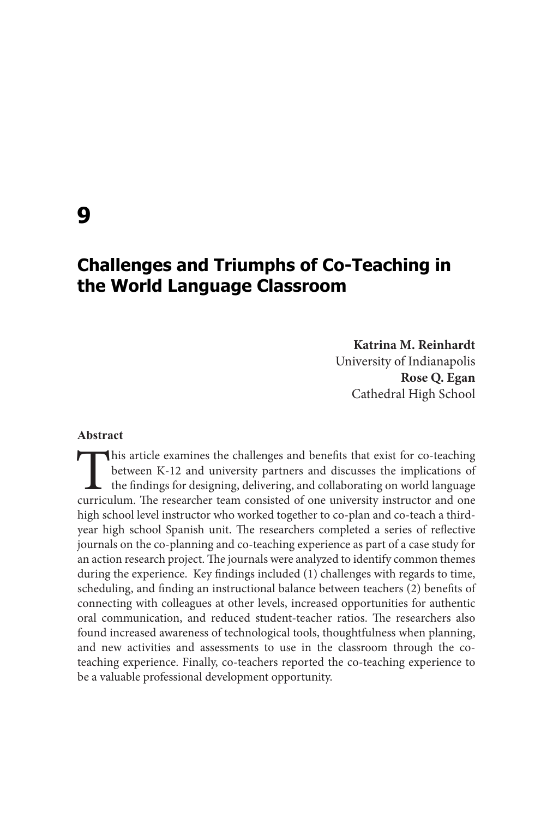# **Challenges and Triumphs of Co-Teaching in the World Language Classroom**

### **Katrina M. Reinhardt**

University of Indianapolis **Rose Q. Egan** Cathedral High School

## **Abstract**

This article examines the challenges and benefits that exist for co-teaching between K-12 and university partners and discusses the implications of the findings for designing, delivering, and collaborating on world languag between K-12 and university partners and discusses the implications of the findings for designing, delivering, and collaborating on world language curriculum. The researcher team consisted of one university instructor and one high school level instructor who worked together to co-plan and co-teach a thirdyear high school Spanish unit. The researchers completed a series of reflective journals on the co-planning and co-teaching experience as part of a case study for an action research project. The journals were analyzed to identify common themes during the experience. Key findings included (1) challenges with regards to time, scheduling, and finding an instructional balance between teachers (2) benefits of connecting with colleagues at other levels, increased opportunities for authentic oral communication, and reduced student-teacher ratios. The researchers also found increased awareness of technological tools, thoughtfulness when planning, and new activities and assessments to use in the classroom through the coteaching experience. Finally, co-teachers reported the co-teaching experience to be a valuable professional development opportunity.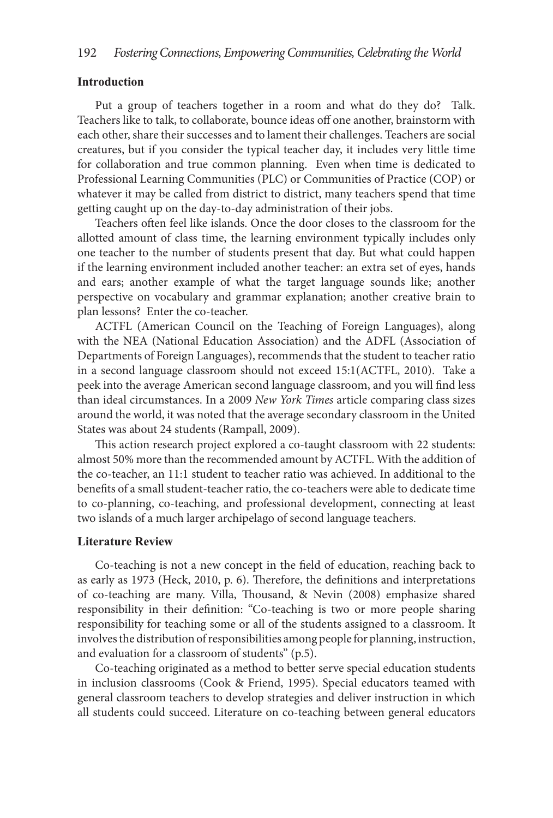### **Introduction**

Put a group of teachers together in a room and what do they do? Talk. Teachers like to talk, to collaborate, bounce ideas off one another, brainstorm with each other, share their successes and to lament their challenges. Teachers are social creatures, but if you consider the typical teacher day, it includes very little time for collaboration and true common planning. Even when time is dedicated to Professional Learning Communities (PLC) or Communities of Practice (COP) or whatever it may be called from district to district, many teachers spend that time getting caught up on the day-to-day administration of their jobs.

Teachers often feel like islands. Once the door closes to the classroom for the allotted amount of class time, the learning environment typically includes only one teacher to the number of students present that day. But what could happen if the learning environment included another teacher: an extra set of eyes, hands and ears; another example of what the target language sounds like; another perspective on vocabulary and grammar explanation; another creative brain to plan lessons? Enter the co-teacher.

ACTFL (American Council on the Teaching of Foreign Languages), along with the NEA (National Education Association) and the ADFL (Association of Departments of Foreign Languages), recommends that the student to teacher ratio in a second language classroom should not exceed 15:1(ACTFL, 2010). Take a peek into the average American second language classroom, and you will find less than ideal circumstances. In a 2009 *New York Times* article comparing class sizes around the world, it was noted that the average secondary classroom in the United States was about 24 students (Rampall, 2009).

This action research project explored a co-taught classroom with 22 students: almost 50% more than the recommended amount by ACTFL. With the addition of the co-teacher, an 11:1 student to teacher ratio was achieved. In additional to the benefits of a small student-teacher ratio, the co-teachers were able to dedicate time to co-planning, co-teaching, and professional development, connecting at least two islands of a much larger archipelago of second language teachers.

### **Literature Review**

Co-teaching is not a new concept in the field of education, reaching back to as early as 1973 (Heck, 2010, p. 6). Therefore, the definitions and interpretations of co-teaching are many. Villa, Thousand, & Nevin (2008) emphasize shared responsibility in their definition: "Co-teaching is two or more people sharing responsibility for teaching some or all of the students assigned to a classroom. It involves the distribution of responsibilities among people for planning, instruction, and evaluation for a classroom of students" (p.5).

Co-teaching originated as a method to better serve special education students in inclusion classrooms (Cook & Friend, 1995). Special educators teamed with general classroom teachers to develop strategies and deliver instruction in which all students could succeed. Literature on co-teaching between general educators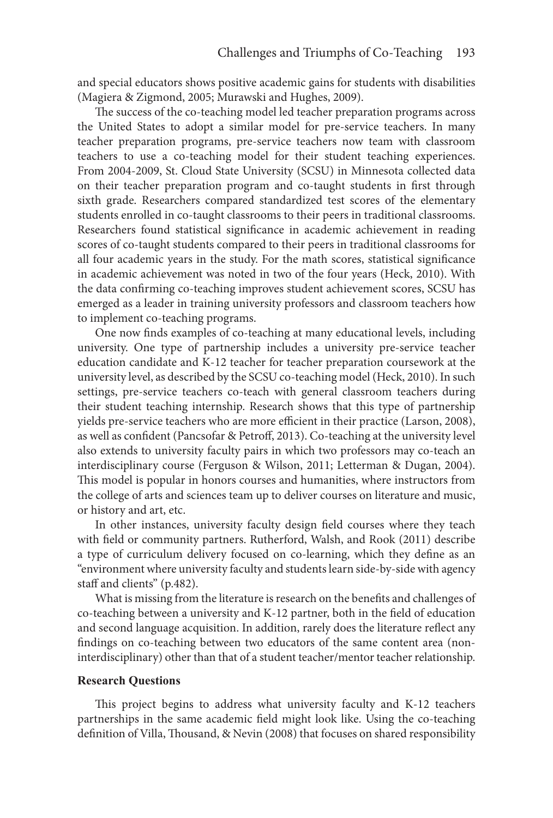and special educators shows positive academic gains for students with disabilities (Magiera & Zigmond, 2005; Murawski and Hughes, 2009).

The success of the co-teaching model led teacher preparation programs across the United States to adopt a similar model for pre-service teachers. In many teacher preparation programs, pre-service teachers now team with classroom teachers to use a co-teaching model for their student teaching experiences. From 2004-2009, St. Cloud State University (SCSU) in Minnesota collected data on their teacher preparation program and co-taught students in first through sixth grade. Researchers compared standardized test scores of the elementary students enrolled in co-taught classrooms to their peers in traditional classrooms. Researchers found statistical significance in academic achievement in reading scores of co-taught students compared to their peers in traditional classrooms for all four academic years in the study. For the math scores, statistical significance in academic achievement was noted in two of the four years (Heck, 2010). With the data confirming co-teaching improves student achievement scores, SCSU has emerged as a leader in training university professors and classroom teachers how to implement co-teaching programs.

One now finds examples of co-teaching at many educational levels, including university. One type of partnership includes a university pre-service teacher education candidate and K-12 teacher for teacher preparation coursework at the university level, as described by the SCSU co-teaching model (Heck, 2010). In such settings, pre-service teachers co-teach with general classroom teachers during their student teaching internship. Research shows that this type of partnership yields pre-service teachers who are more efficient in their practice (Larson, 2008), as well as confident (Pancsofar & Petroff, 2013). Co-teaching at the university level also extends to university faculty pairs in which two professors may co-teach an interdisciplinary course (Ferguson & Wilson, 2011; Letterman & Dugan, 2004). This model is popular in honors courses and humanities, where instructors from the college of arts and sciences team up to deliver courses on literature and music, or history and art, etc.

In other instances, university faculty design field courses where they teach with field or community partners. Rutherford, Walsh, and Rook (2011) describe a type of curriculum delivery focused on co-learning, which they define as an "environment where university faculty and students learn side-by-side with agency staff and clients" (p.482).

What is missing from the literature is research on the benefits and challenges of co-teaching between a university and K-12 partner, both in the field of education and second language acquisition. In addition, rarely does the literature reflect any findings on co-teaching between two educators of the same content area (noninterdisciplinary) other than that of a student teacher/mentor teacher relationship.

### **Research Questions**

This project begins to address what university faculty and K-12 teachers partnerships in the same academic field might look like. Using the co-teaching definition of Villa, Thousand, & Nevin (2008) that focuses on shared responsibility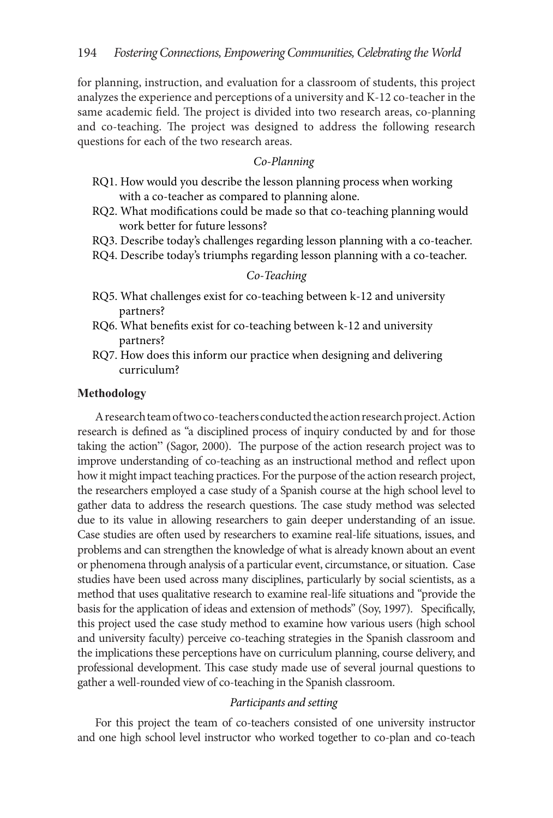for planning, instruction, and evaluation for a classroom of students, this project analyzes the experience and perceptions of a university and K-12 co-teacher in the same academic field. The project is divided into two research areas, co-planning and co-teaching. The project was designed to address the following research questions for each of the two research areas.

# *Co-Planning*

- RQ1. How would you describe the lesson planning process when working with a co-teacher as compared to planning alone.
- RQ2. What modifications could be made so that co-teaching planning would work better for future lessons?
- RQ3. Describe today's challenges regarding lesson planning with a co-teacher.
- RQ4. Describe today's triumphs regarding lesson planning with a co-teacher.

### *Co-Teaching*

- RQ5. What challenges exist for co-teaching between k-12 and university partners?
- RQ6. What benefits exist for co-teaching between k-12 and university partners?
- RQ7. How does this inform our practice when designing and delivering curriculum?

### **Methodology**

A research team of two co-teachers conducted the action research project. Action research is defined as "a disciplined process of inquiry conducted by and for those taking the action" (Sagor, 2000). The purpose of the action research project was to improve understanding of co-teaching as an instructional method and reflect upon how it might impact teaching practices. For the purpose of the action research project, the researchers employed a case study of a Spanish course at the high school level to gather data to address the research questions. The case study method was selected due to its value in allowing researchers to gain deeper understanding of an issue. Case studies are often used by researchers to examine real-life situations, issues, and problems and can strengthen the knowledge of what is already known about an event or phenomena through analysis of a particular event, circumstance, or situation. Case studies have been used across many disciplines, particularly by social scientists, as a method that uses qualitative research to examine real-life situations and "provide the basis for the application of ideas and extension of methods" (Soy, 1997). Specifically, this project used the case study method to examine how various users (high school and university faculty) perceive co-teaching strategies in the Spanish classroom and the implications these perceptions have on curriculum planning, course delivery, and professional development. This case study made use of several journal questions to gather a well-rounded view of co-teaching in the Spanish classroom.

# *Participants and setting*

For this project the team of co-teachers consisted of one university instructor and one high school level instructor who worked together to co-plan and co-teach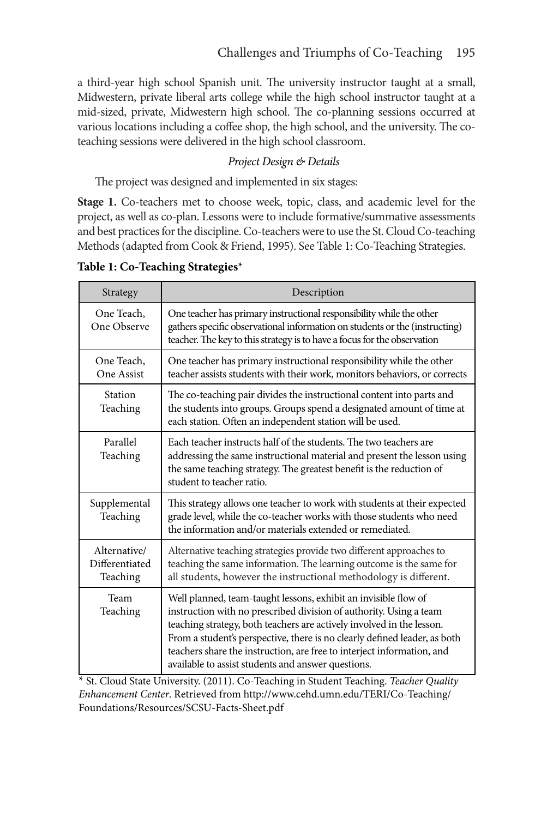a third-year high school Spanish unit. The university instructor taught at a small, Midwestern, private liberal arts college while the high school instructor taught at a mid-sized, private, Midwestern high school. The co-planning sessions occurred at various locations including a coffee shop, the high school, and the university. The coteaching sessions were delivered in the high school classroom.

# *Project Design & Details*

The project was designed and implemented in six stages:

**Stage 1.** Co-teachers met to choose week, topic, class, and academic level for the project, as well as co-plan. Lessons were to include formative/summative assessments and best practices for the discipline. Co-teachers were to use the St. Cloud Co-teaching Methods (adapted from Cook & Friend, 1995). See Table 1: Co-Teaching Strategies.

| Strategy                                   | Description                                                                                                                                                                                                                                                                                                                                                                                                                 |  |  |
|--------------------------------------------|-----------------------------------------------------------------------------------------------------------------------------------------------------------------------------------------------------------------------------------------------------------------------------------------------------------------------------------------------------------------------------------------------------------------------------|--|--|
| One Teach,<br>One Observe                  | One teacher has primary instructional responsibility while the other<br>gathers specific observational information on students or the (instructing)<br>teacher. The key to this strategy is to have a focus for the observation                                                                                                                                                                                             |  |  |
| One Teach,<br>One Assist                   | One teacher has primary instructional responsibility while the other<br>teacher assists students with their work, monitors behaviors, or corrects                                                                                                                                                                                                                                                                           |  |  |
| Station<br>Teaching                        | The co-teaching pair divides the instructional content into parts and<br>the students into groups. Groups spend a designated amount of time at<br>each station. Often an independent station will be used.                                                                                                                                                                                                                  |  |  |
| Parallel<br>Teaching                       | Each teacher instructs half of the students. The two teachers are<br>addressing the same instructional material and present the lesson using<br>the same teaching strategy. The greatest benefit is the reduction of<br>student to teacher ratio.                                                                                                                                                                           |  |  |
| Supplemental<br>Teaching                   | This strategy allows one teacher to work with students at their expected<br>grade level, while the co-teacher works with those students who need<br>the information and/or materials extended or remediated.                                                                                                                                                                                                                |  |  |
| Alternative/<br>Differentiated<br>Teaching | Alternative teaching strategies provide two different approaches to<br>teaching the same information. The learning outcome is the same for<br>all students, however the instructional methodology is different.                                                                                                                                                                                                             |  |  |
| Team<br>Teaching                           | Well planned, team-taught lessons, exhibit an invisible flow of<br>instruction with no prescribed division of authority. Using a team<br>teaching strategy, both teachers are actively involved in the lesson.<br>From a student's perspective, there is no clearly defined leader, as both<br>teachers share the instruction, are free to interject information, and<br>available to assist students and answer questions. |  |  |

**Table 1: Co-Teaching Strategies**\*

\* St. Cloud State University. (2011). Co-Teaching in Student Teaching. *Teacher Quality Enhancement Center*. Retrieved from http://www.cehd.umn.edu/TERI/Co-Teaching/ Foundations/Resources/SCSU-Facts-Sheet.pdf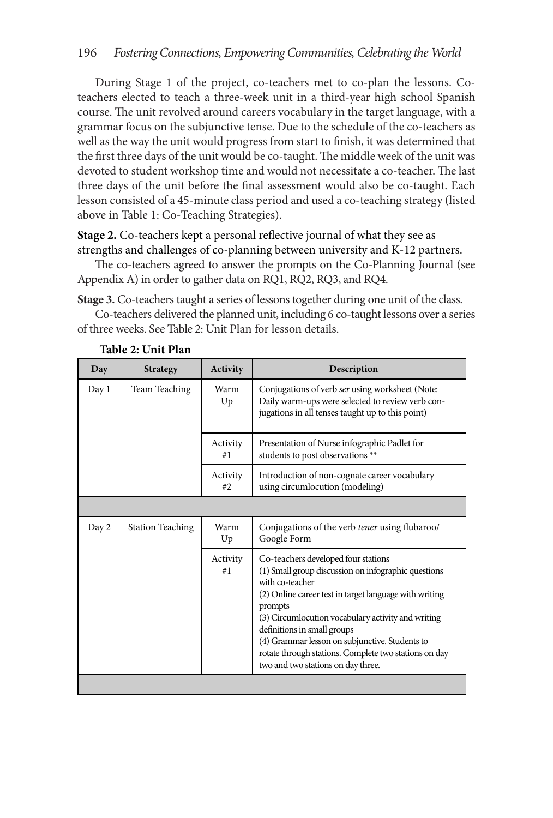During Stage 1 of the project, co-teachers met to co-plan the lessons. Coteachers elected to teach a three-week unit in a third-year high school Spanish course. The unit revolved around careers vocabulary in the target language, with a grammar focus on the subjunctive tense. Due to the schedule of the co-teachers as well as the way the unit would progress from start to finish, it was determined that the first three days of the unit would be co-taught. The middle week of the unit was devoted to student workshop time and would not necessitate a co-teacher. The last three days of the unit before the final assessment would also be co-taught. Each lesson consisted of a 45-minute class period and used a co-teaching strategy (listed above in Table 1: Co-Teaching Strategies).

**Stage 2.** Co-teachers kept a personal reflective journal of what they see as strengths and challenges of co-planning between university and K-12 partners.

The co-teachers agreed to answer the prompts on the Co-Planning Journal (see Appendix A) in order to gather data on RQ1, RQ2, RQ3, and RQ4.

**Stage 3.** Co-teachers taught a series of lessons together during one unit of the class.

Co-teachers delivered the planned unit, including 6 co-taught lessons over a series of three weeks. See Table 2: Unit Plan for lesson details.

| <b>Strategy</b>         | <b>Activity</b> | Description                                                                                                                                                                                                                                                                                                                                                                                                              |
|-------------------------|-----------------|--------------------------------------------------------------------------------------------------------------------------------------------------------------------------------------------------------------------------------------------------------------------------------------------------------------------------------------------------------------------------------------------------------------------------|
| Team Teaching           | Warm<br>Up      | Conjugations of verb ser using worksheet (Note:<br>Daily warm-ups were selected to review verb con-<br>jugations in all tenses taught up to this point)                                                                                                                                                                                                                                                                  |
|                         | Activity<br>#1  | Presentation of Nurse infographic Padlet for<br>students to post observations **                                                                                                                                                                                                                                                                                                                                         |
|                         | Activity<br>#2. | Introduction of non-cognate career vocabulary<br>using circumlocution (modeling)                                                                                                                                                                                                                                                                                                                                         |
|                         |                 |                                                                                                                                                                                                                                                                                                                                                                                                                          |
| <b>Station Teaching</b> | Warm<br>Up      | Conjugations of the verb tener using flubaroo/<br>Google Form                                                                                                                                                                                                                                                                                                                                                            |
|                         | Activity<br>#1  | Co-teachers developed four stations<br>(1) Small group discussion on infographic questions<br>with co-teacher<br>(2) Online career test in target language with writing<br>prompts<br>(3) Circumlocution vocabulary activity and writing<br>definitions in small groups<br>(4) Grammar lesson on subjunctive. Students to<br>rotate through stations. Complete two stations on day<br>two and two stations on day three. |
|                         |                 |                                                                                                                                                                                                                                                                                                                                                                                                                          |

### **Table 2: Unit Plan**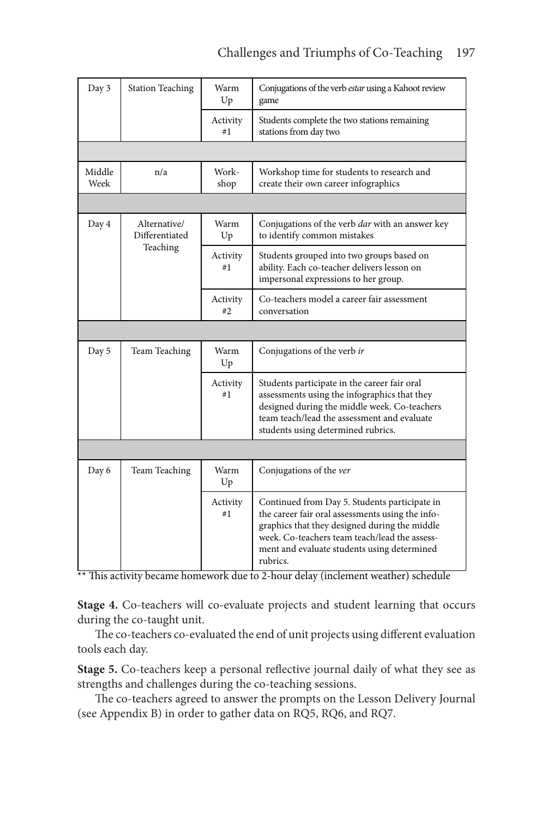# Challenges and Triumphs of Co-Teaching 197

| Day 3          | <b>Station Teaching</b>        | Warm<br>Up     | Conjugations of the verb estar using a Kahoot review<br>game                                                                                                                                                                                                   |  |  |  |
|----------------|--------------------------------|----------------|----------------------------------------------------------------------------------------------------------------------------------------------------------------------------------------------------------------------------------------------------------------|--|--|--|
|                |                                | Activity<br>#1 | Students complete the two stations remaining<br>stations from day two                                                                                                                                                                                          |  |  |  |
|                |                                |                |                                                                                                                                                                                                                                                                |  |  |  |
| Middle<br>Week | n/a                            | Work-<br>shop  | Workshop time for students to research and<br>create their own career infographics                                                                                                                                                                             |  |  |  |
|                |                                |                |                                                                                                                                                                                                                                                                |  |  |  |
| Day 4          | Alternative/<br>Differentiated | Warm<br>Up     | Conjugations of the verb <i>dar</i> with an answer key<br>to identify common mistakes                                                                                                                                                                          |  |  |  |
|                | Teaching                       | Activity<br>#1 | Students grouped into two groups based on<br>ability. Each co-teacher delivers lesson on<br>impersonal expressions to her group.                                                                                                                               |  |  |  |
|                |                                | Activity<br>#2 | Co-teachers model a career fair assessment<br>conversation                                                                                                                                                                                                     |  |  |  |
|                |                                |                |                                                                                                                                                                                                                                                                |  |  |  |
| Day 5          | Team Teaching                  | Warm<br>Up     | Conjugations of the verb ir                                                                                                                                                                                                                                    |  |  |  |
|                |                                | Activity<br>#1 | Students participate in the career fair oral<br>assessments using the infographics that they<br>designed during the middle week. Co-teachers<br>team teach/lead the assessment and evaluate<br>students using determined rubrics.                              |  |  |  |
|                |                                |                |                                                                                                                                                                                                                                                                |  |  |  |
| Day 6          | Team Teaching                  | Warm<br>Up     | Conjugations of the ver                                                                                                                                                                                                                                        |  |  |  |
|                |                                | Activity<br>#1 | Continued from Day 5. Students participate in<br>the career fair oral assessments using the info-<br>graphics that they designed during the middle<br>week. Co-teachers team teach/lead the assess-<br>ment and evaluate students using determined<br>rubrics. |  |  |  |

\*\* This activity became homework due to 2-hour delay (inclement weather) schedule

**Stage 4.** Co-teachers will co-evaluate projects and student learning that occurs during the co-taught unit.

The co-teachers co-evaluated the end of unit projects using different evaluation tools each day.

**Stage 5.** Co-teachers keep a personal reflective journal daily of what they see as strengths and challenges during the co-teaching sessions.

The co-teachers agreed to answer the prompts on the Lesson Delivery Journal (see Appendix B) in order to gather data on RQ5, RQ6, and RQ7.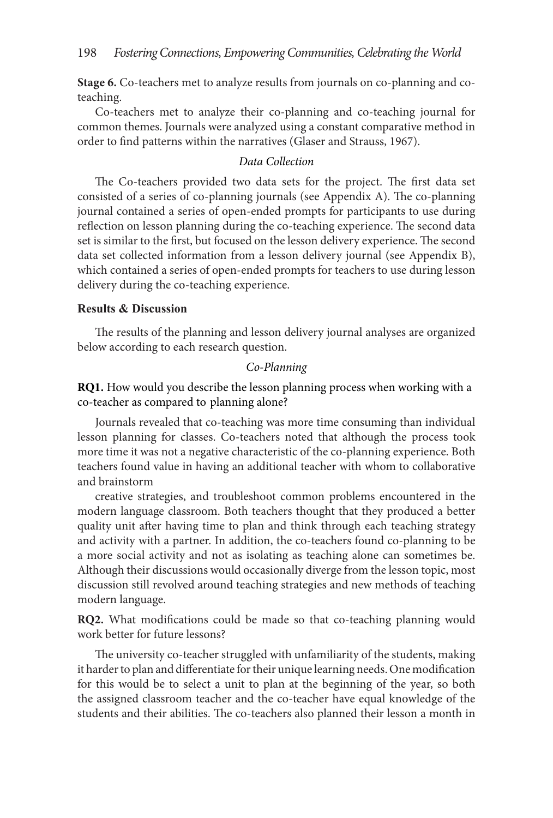**Stage 6.** Co-teachers met to analyze results from journals on co-planning and coteaching.

Co-teachers met to analyze their co-planning and co-teaching journal for common themes. Journals were analyzed using a constant comparative method in order to find patterns within the narratives (Glaser and Strauss, 1967).

### *Data Collection*

The Co-teachers provided two data sets for the project. The first data set consisted of a series of co-planning journals (see Appendix A). The co-planning journal contained a series of open-ended prompts for participants to use during reflection on lesson planning during the co-teaching experience. The second data set is similar to the first, but focused on the lesson delivery experience. The second data set collected information from a lesson delivery journal (see Appendix B), which contained a series of open-ended prompts for teachers to use during lesson delivery during the co-teaching experience.

### **Results & Discussion**

The results of the planning and lesson delivery journal analyses are organized below according to each research question.

### *Co-Planning*

**RQ1.** How would you describe the lesson planning process when working with a co-teacher as compared to planning alone?

Journals revealed that co-teaching was more time consuming than individual lesson planning for classes. Co-teachers noted that although the process took more time it was not a negative characteristic of the co-planning experience. Both teachers found value in having an additional teacher with whom to collaborative and brainstorm

creative strategies, and troubleshoot common problems encountered in the modern language classroom. Both teachers thought that they produced a better quality unit after having time to plan and think through each teaching strategy and activity with a partner. In addition, the co-teachers found co-planning to be a more social activity and not as isolating as teaching alone can sometimes be. Although their discussions would occasionally diverge from the lesson topic, most discussion still revolved around teaching strategies and new methods of teaching modern language.

**RQ2.** What modifications could be made so that co-teaching planning would work better for future lessons?

The university co-teacher struggled with unfamiliarity of the students, making it harder to plan and differentiate for their unique learning needs. One modification for this would be to select a unit to plan at the beginning of the year, so both the assigned classroom teacher and the co-teacher have equal knowledge of the students and their abilities. The co-teachers also planned their lesson a month in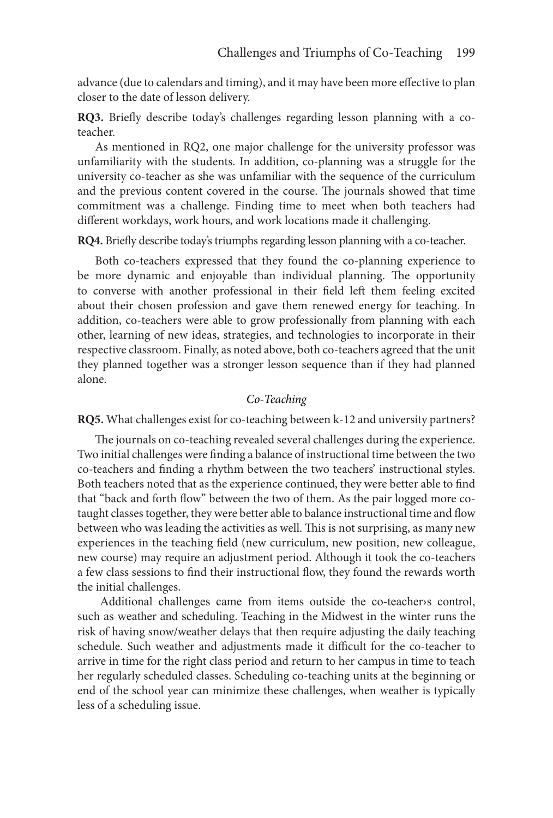advance (due to calendars and timing), and it may have been more effective to plan closer to the date of lesson delivery.

**RQ3.** Briefly describe today's challenges regarding lesson planning with a coteacher.

As mentioned in RQ2, one major challenge for the university professor was unfamiliarity with the students. In addition, co-planning was a struggle for the university co-teacher as she was unfamiliar with the sequence of the curriculum and the previous content covered in the course. The journals showed that time commitment was a challenge. Finding time to meet when both teachers had different workdays, work hours, and work locations made it challenging.

**RQ4.** Briefly describe today's triumphs regarding lesson planning with a co-teacher.

Both co-teachers expressed that they found the co-planning experience to be more dynamic and enjoyable than individual planning. The opportunity to converse with another professional in their field left them feeling excited about their chosen profession and gave them renewed energy for teaching. In addition, co-teachers were able to grow professionally from planning with each other, learning of new ideas, strategies, and technologies to incorporate in their respective classroom. Finally, as noted above, both co-teachers agreed that the unit they planned together was a stronger lesson sequence than if they had planned alone.

# *Co-Teaching*

**RQ5.** What challenges exist for co-teaching between k-12 and university partners?

The journals on co-teaching revealed several challenges during the experience. Two initial challenges were finding a balance of instructional time between the two co-teachers and finding a rhythm between the two teachers' instructional styles. Both teachers noted that as the experience continued, they were better able to find that "back and forth flow" between the two of them. As the pair logged more cotaught classes together, they were better able to balance instructional time and flow between who was leading the activities as well. This is not surprising, as many new experiences in the teaching field (new curriculum, new position, new colleague, new course) may require an adjustment period. Although it took the co-teachers a few class sessions to find their instructional flow, they found the rewards worth the initial challenges.

Additional challenges came from items outside the co-teacher›s control, such as weather and scheduling. Teaching in the Midwest in the winter runs the risk of having snow/weather delays that then require adjusting the daily teaching schedule. Such weather and adjustments made it difficult for the co-teacher to arrive in time for the right class period and return to her campus in time to teach her regularly scheduled classes. Scheduling co-teaching units at the beginning or end of the school year can minimize these challenges, when weather is typically less of a scheduling issue.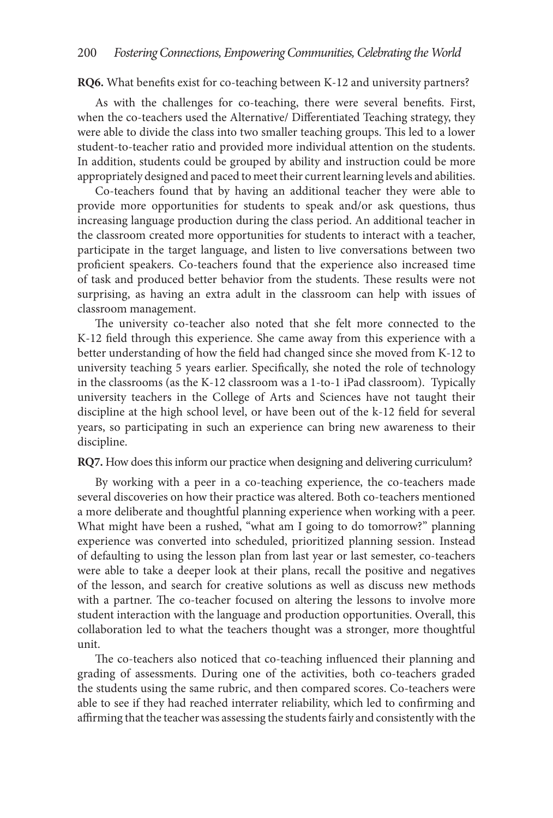**RQ6.** What benefits exist for co-teaching between K-12 and university partners?

As with the challenges for co-teaching, there were several benefits. First, when the co-teachers used the Alternative/ Differentiated Teaching strategy, they were able to divide the class into two smaller teaching groups. This led to a lower student-to-teacher ratio and provided more individual attention on the students. In addition, students could be grouped by ability and instruction could be more appropriately designed and paced to meet their current learning levels and abilities.

Co-teachers found that by having an additional teacher they were able to provide more opportunities for students to speak and/or ask questions, thus increasing language production during the class period. An additional teacher in the classroom created more opportunities for students to interact with a teacher, participate in the target language, and listen to live conversations between two proficient speakers. Co-teachers found that the experience also increased time of task and produced better behavior from the students. These results were not surprising, as having an extra adult in the classroom can help with issues of classroom management.

The university co-teacher also noted that she felt more connected to the K-12 field through this experience. She came away from this experience with a better understanding of how the field had changed since she moved from K-12 to university teaching 5 years earlier. Specifically, she noted the role of technology in the classrooms (as the K-12 classroom was a 1-to-1 iPad classroom). Typically university teachers in the College of Arts and Sciences have not taught their discipline at the high school level, or have been out of the k-12 field for several years, so participating in such an experience can bring new awareness to their discipline.

**RQ7.** How does this inform our practice when designing and delivering curriculum?

By working with a peer in a co-teaching experience, the co-teachers made several discoveries on how their practice was altered. Both co-teachers mentioned a more deliberate and thoughtful planning experience when working with a peer. What might have been a rushed, "what am I going to do tomorrow?" planning experience was converted into scheduled, prioritized planning session. Instead of defaulting to using the lesson plan from last year or last semester, co-teachers were able to take a deeper look at their plans, recall the positive and negatives of the lesson, and search for creative solutions as well as discuss new methods with a partner. The co-teacher focused on altering the lessons to involve more student interaction with the language and production opportunities. Overall, this collaboration led to what the teachers thought was a stronger, more thoughtful unit.

The co-teachers also noticed that co-teaching influenced their planning and grading of assessments. During one of the activities, both co-teachers graded the students using the same rubric, and then compared scores. Co-teachers were able to see if they had reached interrater reliability, which led to confirming and affirming that the teacher was assessing the students fairly and consistently with the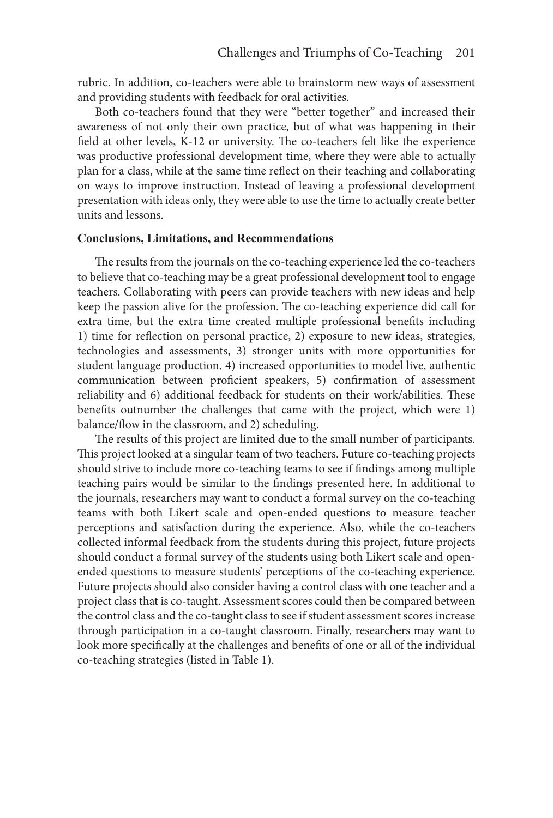rubric. In addition, co-teachers were able to brainstorm new ways of assessment and providing students with feedback for oral activities.

Both co-teachers found that they were "better together" and increased their awareness of not only their own practice, but of what was happening in their field at other levels, K-12 or university. The co-teachers felt like the experience was productive professional development time, where they were able to actually plan for a class, while at the same time reflect on their teaching and collaborating on ways to improve instruction. Instead of leaving a professional development presentation with ideas only, they were able to use the time to actually create better units and lessons.

### **Conclusions, Limitations, and Recommendations**

The results from the journals on the co-teaching experience led the co-teachers to believe that co-teaching may be a great professional development tool to engage teachers. Collaborating with peers can provide teachers with new ideas and help keep the passion alive for the profession. The co-teaching experience did call for extra time, but the extra time created multiple professional benefits including 1) time for reflection on personal practice, 2) exposure to new ideas, strategies, technologies and assessments, 3) stronger units with more opportunities for student language production, 4) increased opportunities to model live, authentic communication between proficient speakers, 5) confirmation of assessment reliability and 6) additional feedback for students on their work/abilities. These benefits outnumber the challenges that came with the project, which were 1) balance/flow in the classroom, and 2) scheduling.

The results of this project are limited due to the small number of participants. This project looked at a singular team of two teachers. Future co-teaching projects should strive to include more co-teaching teams to see if findings among multiple teaching pairs would be similar to the findings presented here. In additional to the journals, researchers may want to conduct a formal survey on the co-teaching teams with both Likert scale and open-ended questions to measure teacher perceptions and satisfaction during the experience. Also, while the co-teachers collected informal feedback from the students during this project, future projects should conduct a formal survey of the students using both Likert scale and openended questions to measure students' perceptions of the co-teaching experience. Future projects should also consider having a control class with one teacher and a project class that is co-taught. Assessment scores could then be compared between the control class and the co-taught class to see if student assessment scores increase through participation in a co-taught classroom. Finally, researchers may want to look more specifically at the challenges and benefits of one or all of the individual co-teaching strategies (listed in Table 1).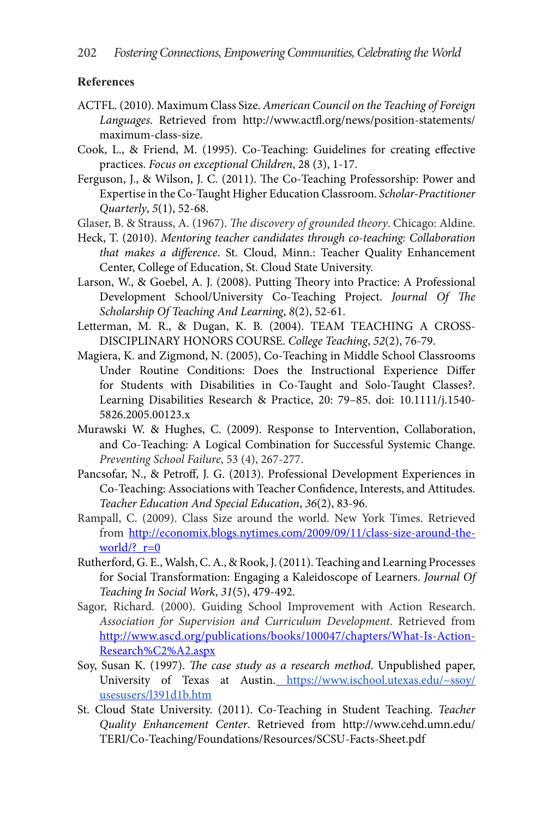### **References**

- ACTFL. (2010). Maximum Class Size. *American Council on the Teaching of Foreign Languages*. Retrieved from http://www.actfl.org/news/position-statements/ maximum-class-size.
- Cook, L., & Friend, M. (1995). Co-Teaching: Guidelines for creating effective practices. *Focus on exceptional Children*, 28 (3), 1-17.
- Ferguson, J., & Wilson, J. C. (2011). The Co-Teaching Professorship: Power and Expertise in the Co-Taught Higher Education Classroom. *Scholar-Practitioner Quarterly*, *5*(1), 52-68.
- Glaser, B. & Strauss, A. (1967). *The discovery of grounded theory*. Chicago: Aldine.
- Heck, T. (2010). *Mentoring teacher candidates through co-teaching: Collaboration that makes a difference*. St. Cloud, Minn.: Teacher Quality Enhancement Center, College of Education, St. Cloud State University.
- Larson, W., & Goebel, A. J. (2008). Putting Theory into Practice: A Professional Development School/University Co-Teaching Project. *Journal Of The Scholarship Of Teaching And Learning*, *8*(2), 52-61.
- Letterman, M. R., & Dugan, K. B. (2004). TEAM TEACHING A CROSS-DISCIPLINARY HONORS COURSE. *College Teaching*, *52*(2), 76-79.
- Magiera, K. and Zigmond, N. (2005), Co-Teaching in Middle School Classrooms Under Routine Conditions: Does the Instructional Experience Differ for Students with Disabilities in Co-Taught and Solo-Taught Classes?. Learning Disabilities Research & Practice, 20: 79–85. doi: 10.1111/j.1540- 5826.2005.00123.x
- Murawski W. & Hughes, C. (2009). Response to Intervention, Collaboration, and Co-Teaching: A Logical Combination for Successful Systemic Change. *Preventing School Failure*, 53 (4), 267-277.
- Pancsofar, N., & Petroff, J. G. (2013). Professional Development Experiences in Co-Teaching: Associations with Teacher Confidence, Interests, and Attitudes. *Teacher Education And Special Education*, *36*(2), 83-96.
- Rampall, C. (2009). Class Size around the world. New York Times. Retrieved from http://economix.blogs.nytimes.com/2009/09/11/class-size-around-theworld/?  $r=0$
- Rutherford, G. E., Walsh, C. A., & Rook, J. (2011). Teaching and Learning Processes for Social Transformation: Engaging a Kaleidoscope of Learners. *Journal Of Teaching In Social Work*, *31*(5), 479-492.
- Sagor, Richard. (2000). Guiding School Improvement with Action Research. *Association for Supervision and Curriculum Development*. Retrieved from http://www.ascd.org/publications/books/100047/chapters/What-Is-Action-Research%C2%A2.aspx
- Soy, Susan K. (1997). *The case study as a research method*. Unpublished paper, University of Texas at Austin. https://www.ischool.utexas.edu/~ssoy/ usesusers/l391d1b.htm
- St. Cloud State University. (2011). Co-Teaching in Student Teaching. *Teacher Quality Enhancement Center*. Retrieved from http://www.cehd.umn.edu/ TERI/Co-Teaching/Foundations/Resources/SCSU-Facts-Sheet.pdf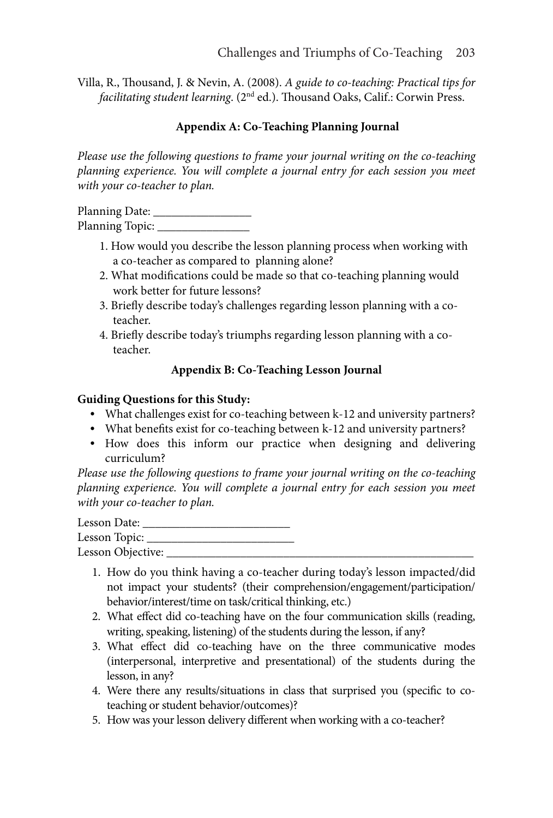Villa, R., Thousand, J. & Nevin, A. (2008). *A guide to co-teaching: Practical tips for facilitating student learning*. (2nd ed.). Thousand Oaks, Calif.: Corwin Press.

# **Appendix A: Co-Teaching Planning Journal**

*Please use the following questions to frame your journal writing on the co-teaching planning experience. You will complete a journal entry for each session you meet with your co-teacher to plan.*

Planning Date: \_\_\_\_\_\_\_\_\_\_\_\_\_\_\_\_ Planning Topic: \_\_\_\_\_\_\_\_\_\_\_\_\_\_\_

- 1. How would you describe the lesson planning process when working with a co-teacher as compared to planning alone?
- 2. What modifications could be made so that co-teaching planning would work better for future lessons?
- 3. Briefly describe today's challenges regarding lesson planning with a coteacher.
- 4. Briefly describe today's triumphs regarding lesson planning with a coteacher.

# **Appendix B: Co-Teaching Lesson Journal**

# **Guiding Questions for this Study:**

- **•** What challenges exist for co-teaching between k-12 and university partners?
- **•** What benefits exist for co-teaching between k-12 and university partners?
- **•** How does this inform our practice when designing and delivering curriculum?

*Please use the following questions to frame your journal writing on the co-teaching planning experience. You will complete a journal entry for each session you meet with your co-teacher to plan.*

Lesson Date: \_\_\_\_\_\_\_\_\_\_\_\_\_\_\_\_\_\_\_\_\_\_\_\_ Lesson Topic: \_\_\_\_\_\_\_\_\_\_\_\_\_\_\_\_\_\_\_\_\_\_\_\_ Lesson Objective: \_\_\_\_\_\_\_\_\_\_\_\_\_\_\_\_\_\_\_\_\_\_\_\_\_\_\_\_\_\_\_\_\_\_\_\_\_\_\_\_\_\_\_\_\_\_\_\_\_\_

- 1. How do you think having a co-teacher during today's lesson impacted/did not impact your students? (their comprehension/engagement/participation/ behavior/interest/time on task/critical thinking, etc.)
- 2. What effect did co-teaching have on the four communication skills (reading, writing, speaking, listening) of the students during the lesson, if any?
- 3. What effect did co-teaching have on the three communicative modes (interpersonal, interpretive and presentational) of the students during the lesson, in any?
- 4. Were there any results/situations in class that surprised you (specific to coteaching or student behavior/outcomes)?
- 5. How was your lesson delivery different when working with a co-teacher?